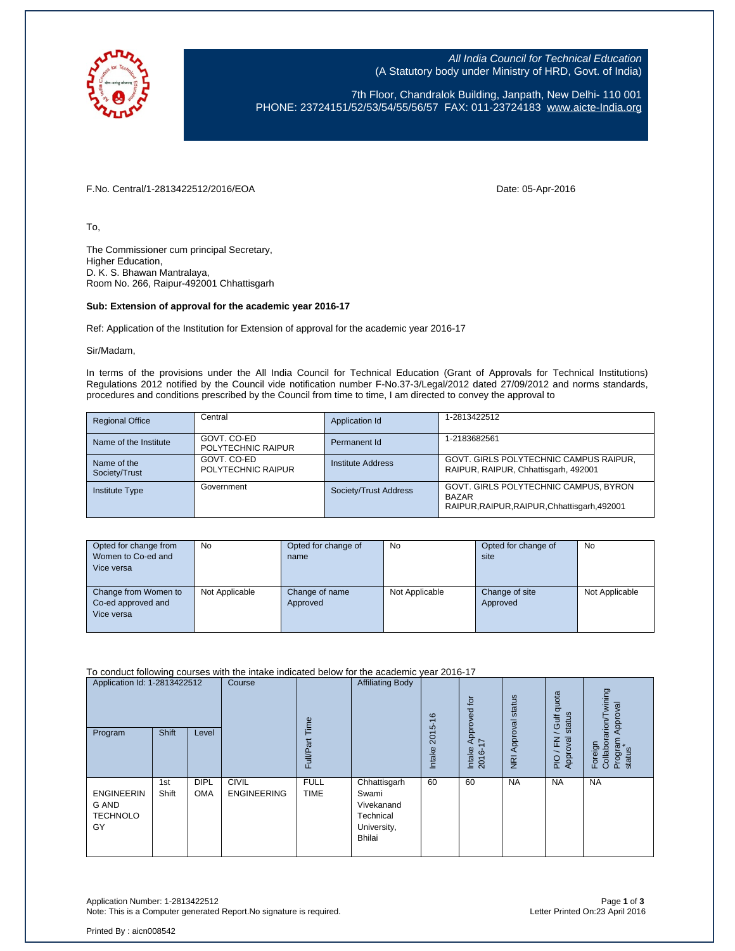

All India Council for Technical Education (A Statutory body under Ministry of HRD, Govt. of India)

7th Floor, Chandralok Building, Janpath, New Delhi- 110 001 PHONE: 23724151/52/53/54/55/56/57 FAX: 011-23724183 [www.aicte-India.org](http://www.aicte-india.org/)

F.No. Central/1-2813422512/2016/EOA Date: 05-Apr-2016

To,

The Commissioner cum principal Secretary, Higher Education, D. K. S. Bhawan Mantralaya, Room No. 266, Raipur-492001 Chhattisgarh

## **Sub: Extension of approval for the academic year 2016-17**

Ref: Application of the Institution for Extension of approval for the academic year 2016-17

Sir/Madam,

In terms of the provisions under the All India Council for Technical Education (Grant of Approvals for Technical Institutions) Regulations 2012 notified by the Council vide notification number F-No.37-3/Legal/2012 dated 27/09/2012 and norms standards, procedures and conditions prescribed by the Council from time to time, I am directed to convey the approval to

| <b>Regional Office</b>       | Central                           | Application Id        | 1-2813422512                                                                                          |
|------------------------------|-----------------------------------|-----------------------|-------------------------------------------------------------------------------------------------------|
| Name of the Institute        | GOVT, CO-ED<br>POLYTECHNIC RAIPUR | Permanent Id          | 1-2183682561                                                                                          |
| Name of the<br>Society/Trust | GOVT, CO-ED<br>POLYTECHNIC RAIPUR | Institute Address     | GOVT. GIRLS POLYTECHNIC CAMPUS RAIPUR,<br>RAIPUR, RAIPUR, Chhattisgarh, 492001                        |
| <b>Institute Type</b>        | Government                        | Society/Trust Address | GOVT. GIRLS POLYTECHNIC CAMPUS, BYRON<br><b>BAZAR</b><br>RAIPUR, RAIPUR, RAIPUR, Chhattisgarh, 492001 |

| Opted for change from<br>Women to Co-ed and<br>Vice versa | No             | Opted for change of<br>name | No             | Opted for change of<br>site | No             |
|-----------------------------------------------------------|----------------|-----------------------------|----------------|-----------------------------|----------------|
| Change from Women to<br>Co-ed approved and<br>Vice versa  | Not Applicable | Change of name<br>Approved  | Not Applicable | Change of site<br>Approved  | Not Applicable |

To conduct following courses with the intake indicated below for the academic year 2016-17

| Application Id: 1-2813422512<br>Program             | Shift        | Level                     | Course                             | Time<br>ā<br>Full/P <sub>i</sub> | <b>Affiliating Body</b>                                                   | $\frac{6}{5}$<br>2015<br>Intake | tor<br>Approved<br>$\overline{1}$<br>Intake<br>2016- | NRI Approval status | quota<br>status<br><b>Gulf</b><br>준<br>ख़<br>Appro<br>$\frac{1}{2}$ | Foreign<br>Collaborarion/Twining<br>Approval<br>Program<br>status |
|-----------------------------------------------------|--------------|---------------------------|------------------------------------|----------------------------------|---------------------------------------------------------------------------|---------------------------------|------------------------------------------------------|---------------------|---------------------------------------------------------------------|-------------------------------------------------------------------|
| <b>ENGINEERIN</b><br>G AND<br><b>TECHNOLO</b><br>GY | 1st<br>Shift | <b>DIPL</b><br><b>OMA</b> | <b>CIVIL</b><br><b>ENGINEERING</b> | <b>FULL</b><br><b>TIME</b>       | Chhattisgarh<br>Swami<br>Vivekanand<br>Technical<br>University,<br>Bhilai | 60                              | 60                                                   | <b>NA</b>           | <b>NA</b>                                                           | <b>NA</b>                                                         |

Application Number: 1-2813422512 Page **1** of **3** Note: This is a Computer generated Report. No signature is required.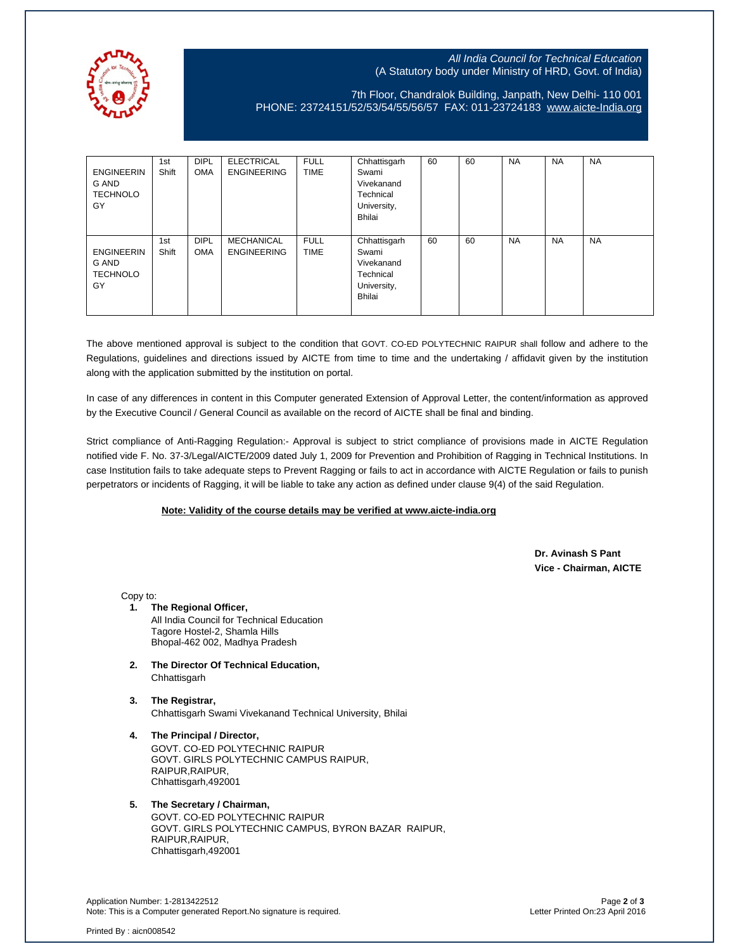

## All India Council for Technical Education (A Statutory body under Ministry of HRD, Govt. of India)

7th Floor, Chandralok Building, Janpath, New Delhi- 110 001 PHONE: 23724151/52/53/54/55/56/57 FAX: 011-23724183 [www.aicte-India.org](http://www.aicte-india.org/)

| <b>ENGINEERIN</b><br>G AND<br><b>TECHNOLO</b><br>GY | 1st<br>Shift | <b>DIPL</b><br><b>OMA</b> | <b>ELECTRICAL</b><br><b>ENGINEERING</b> | <b>FULL</b><br><b>TIME</b> | Chhattisgarh<br>Swami<br>Vivekanand<br>Technical<br>University,<br><b>Bhilai</b> | 60 | 60 | <b>NA</b> | <b>NA</b> | <b>NA</b> |
|-----------------------------------------------------|--------------|---------------------------|-----------------------------------------|----------------------------|----------------------------------------------------------------------------------|----|----|-----------|-----------|-----------|
| <b>ENGINEERIN</b><br>G AND<br><b>TECHNOLO</b><br>GY | 1st<br>Shift | <b>DIPL</b><br><b>OMA</b> | MECHANICAL<br><b>ENGINEERING</b>        | <b>FULL</b><br><b>TIME</b> | Chhattisgarh<br>Swami<br>Vivekanand<br>Technical<br>University,<br><b>Bhilai</b> | 60 | 60 | <b>NA</b> | <b>NA</b> | <b>NA</b> |

The above mentioned approval is subject to the condition that GOVT. CO-ED POLYTECHNIC RAIPUR shall follow and adhere to the Regulations, guidelines and directions issued by AICTE from time to time and the undertaking / affidavit given by the institution along with the application submitted by the institution on portal.

In case of any differences in content in this Computer generated Extension of Approval Letter, the content/information as approved by the Executive Council / General Council as available on the record of AICTE shall be final and binding.

Strict compliance of Anti-Ragging Regulation:- Approval is subject to strict compliance of provisions made in AICTE Regulation notified vide F. No. 37-3/Legal/AICTE/2009 dated July 1, 2009 for Prevention and Prohibition of Ragging in Technical Institutions. In case Institution fails to take adequate steps to Prevent Ragging or fails to act in accordance with AICTE Regulation or fails to punish perpetrators or incidents of Ragging, it will be liable to take any action as defined under clause 9(4) of the said Regulation.

## **Note: Validity of the course details may be verified at www.aicte-india.org**

 **Dr. Avinash S Pant Vice - Chairman, AICTE**

Copy to:

**1. The Regional Officer,** All India Council for Technical Education Tagore Hostel-2, Shamla Hills Bhopal-462 002, Madhya Pradesh

- **2. The Director Of Technical Education, Chhattisgarh**
- **3. The Registrar,** Chhattisgarh Swami Vivekanand Technical University, Bhilai
- **4. The Principal / Director,** GOVT. CO-ED POLYTECHNIC RAIPUR GOVT. GIRLS POLYTECHNIC CAMPUS RAIPUR, RAIPUR, RAIPUR, Chhattisgarh,492001

## **5. The Secretary / Chairman,** GOVT. CO-ED POLYTECHNIC RAIPUR GOVT. GIRLS POLYTECHNIC CAMPUS, BYRON BAZAR RAIPUR, RAIPUR, RAIPUR, Chhattisgarh,492001

Application Number: 1-2813422512 Page **2** of **3** Note: This is a Computer generated Report.No signature is required.

Printed By : aicn008542